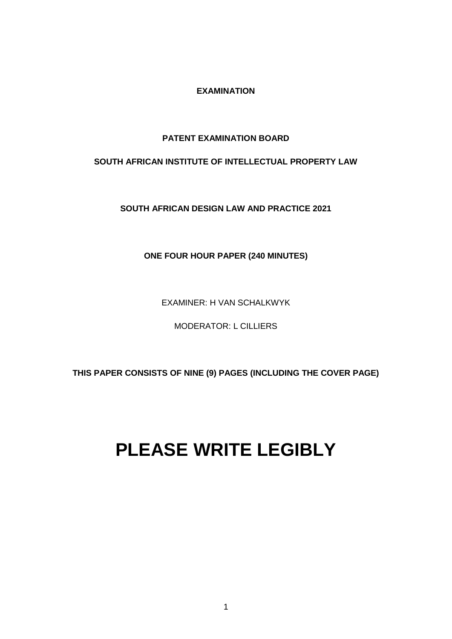### **EXAMINATION**

## **PATENT EXAMINATION BOARD**

## **SOUTH AFRICAN INSTITUTE OF INTELLECTUAL PROPERTY LAW**

**SOUTH AFRICAN DESIGN LAW AND PRACTICE 2021**

**ONE FOUR HOUR PAPER (240 MINUTES)**

EXAMINER: H VAN SCHALKWYK

MODERATOR: L CILLIERS

**THIS PAPER CONSISTS OF NINE (9) PAGES (INCLUDING THE COVER PAGE)** 

# **PLEASE WRITE LEGIBLY**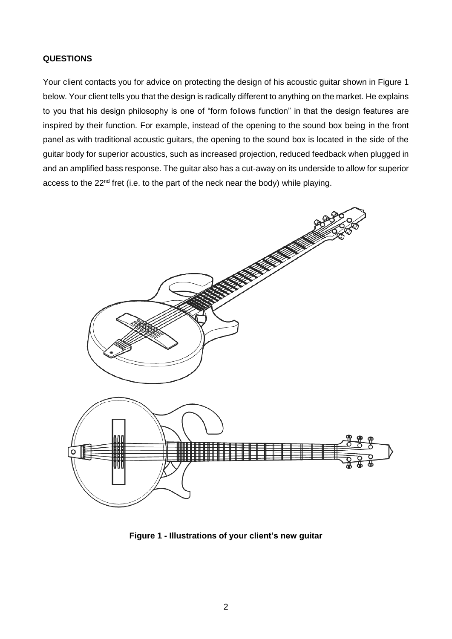## **QUESTIONS**

Your client contacts you for advice on protecting the design of his acoustic guitar shown in Figure 1 below. Your client tells you that the design is radically different to anything on the market. He explains to you that his design philosophy is one of "form follows function" in that the design features are inspired by their function. For example, instead of the opening to the sound box being in the front panel as with traditional acoustic guitars, the opening to the sound box is located in the side of the guitar body for superior acoustics, such as increased projection, reduced feedback when plugged in and an amplified bass response. The guitar also has a cut-away on its underside to allow for superior access to the 22<sup>nd</sup> fret (i.e. to the part of the neck near the body) while playing.



**Figure 1 - Illustrations of your client's new guitar**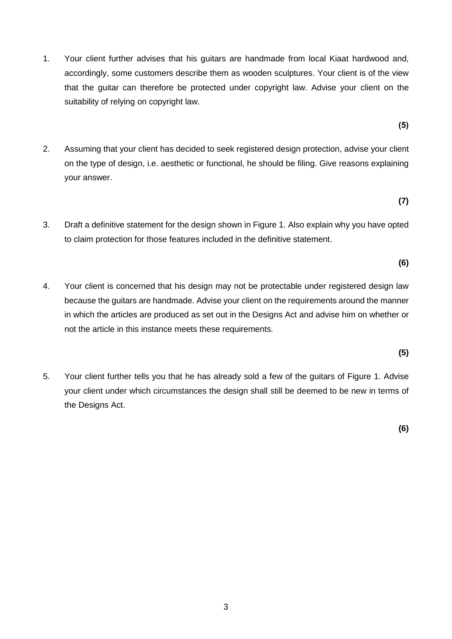- 1. Your client further advises that his guitars are handmade from local Kiaat hardwood and, accordingly, some customers describe them as wooden sculptures. Your client is of the view that the guitar can therefore be protected under copyright law. Advise your client on the suitability of relying on copyright law.
- 2. Assuming that your client has decided to seek registered design protection, advise your client on the type of design, i.e. aesthetic or functional, he should be filing. Give reasons explaining your answer.

**(7)**

**(6)**

**(5)** 

- 3. Draft a definitive statement for the design shown in Figure 1. Also explain why you have opted to claim protection for those features included in the definitive statement.
- 4. Your client is concerned that his design may not be protectable under registered design law because the guitars are handmade. Advise your client on the requirements around the manner in which the articles are produced as set out in the Designs Act and advise him on whether or not the article in this instance meets these requirements.
- 5. Your client further tells you that he has already sold a few of the guitars of Figure 1. Advise your client under which circumstances the design shall still be deemed to be new in terms of the Designs Act.

**(6)**

**(5)**

3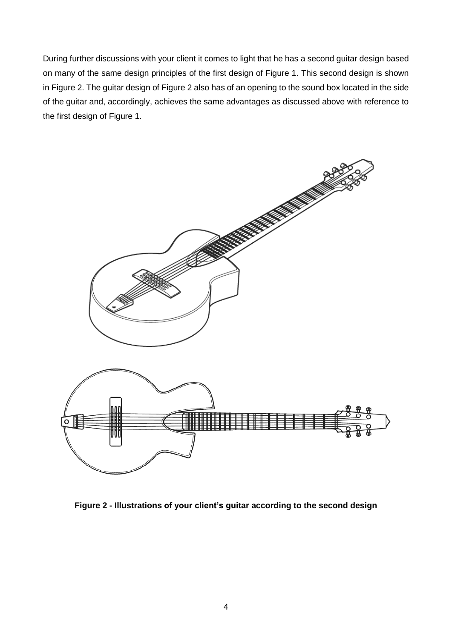During further discussions with your client it comes to light that he has a second guitar design based on many of the same design principles of the first design of Figure 1. This second design is shown in Figure 2. The guitar design of Figure 2 also has of an opening to the sound box located in the side of the guitar and, accordingly, achieves the same advantages as discussed above with reference to the first design of Figure 1.



**Figure 2 - Illustrations of your client's guitar according to the second design**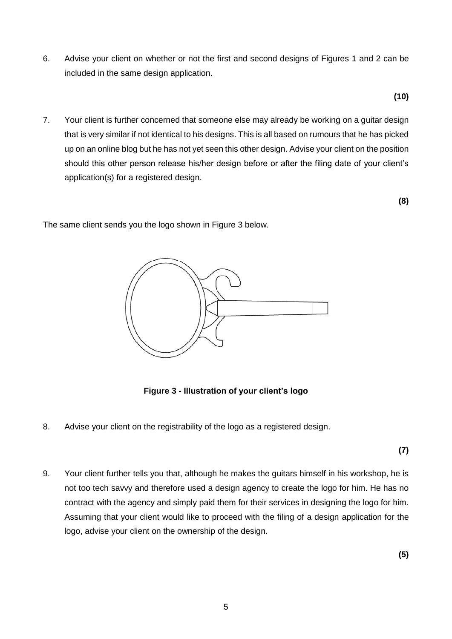6. Advise your client on whether or not the first and second designs of Figures 1 and 2 can be included in the same design application.

**(10)**

7. Your client is further concerned that someone else may already be working on a guitar design that is very similar if not identical to his designs. This is all based on rumours that he has picked up on an online blog but he has not yet seen this other design. Advise your client on the position should this other person release his/her design before or after the filing date of your client's application(s) for a registered design.

**(8)**

The same client sends you the logo shown in Figure 3 below.



**Figure 3 - Illustration of your client's logo** 

8. Advise your client on the registrability of the logo as a registered design.

**(7)**

9. Your client further tells you that, although he makes the guitars himself in his workshop, he is not too tech savvy and therefore used a design agency to create the logo for him. He has no contract with the agency and simply paid them for their services in designing the logo for him. Assuming that your client would like to proceed with the filing of a design application for the logo, advise your client on the ownership of the design.

**(5)**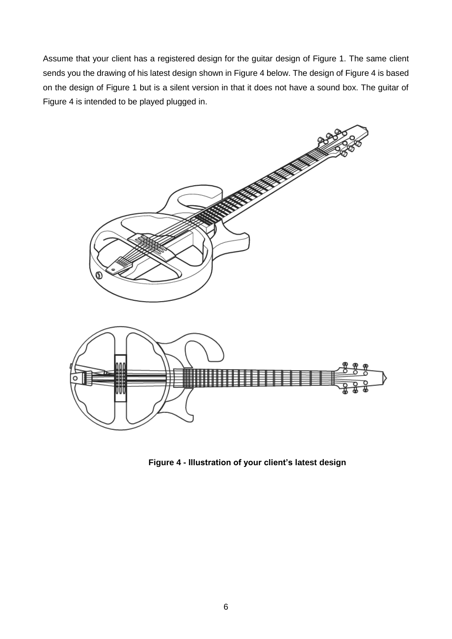Assume that your client has a registered design for the guitar design of Figure 1. The same client sends you the drawing of his latest design shown in Figure 4 below. The design of Figure 4 is based on the design of Figure 1 but is a silent version in that it does not have a sound box. The guitar of Figure 4 is intended to be played plugged in.



**Figure 4 - Illustration of your client's latest design**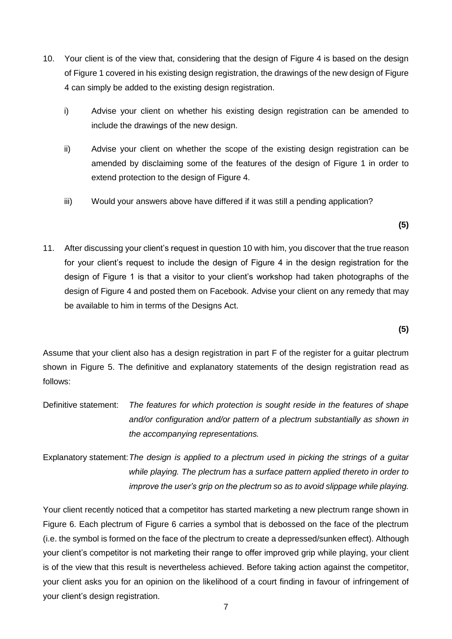- 10. Your client is of the view that, considering that the design of Figure 4 is based on the design of Figure 1 covered in his existing design registration, the drawings of the new design of Figure 4 can simply be added to the existing design registration.
	- i) Advise your client on whether his existing design registration can be amended to include the drawings of the new design.
	- ii) Advise your client on whether the scope of the existing design registration can be amended by disclaiming some of the features of the design of Figure 1 in order to extend protection to the design of Figure 4.
	- iii) Would your answers above have differed if it was still a pending application?

**(5)**

11. After discussing your client's request in question 10 with him, you discover that the true reason for your client's request to include the design of Figure 4 in the design registration for the design of Figure 1 is that a visitor to your client's workshop had taken photographs of the design of Figure 4 and posted them on Facebook. Advise your client on any remedy that may be available to him in terms of the Designs Act.

**(5)**

Assume that your client also has a design registration in part F of the register for a guitar plectrum shown in Figure 5. The definitive and explanatory statements of the design registration read as follows:

- Definitive statement: *The features for which protection is sought reside in the features of shape*  and/or configuration and/or pattern of a plectrum substantially as shown in *the accompanying representations.*
- Explanatory statement:*The design is applied to a plectrum used in picking the strings of a guitar while playing. The plectrum has a surface pattern applied thereto in order to improve the user's grip on the plectrum so as to avoid slippage while playing.*

Your client recently noticed that a competitor has started marketing a new plectrum range shown in Figure 6. Each plectrum of Figure 6 carries a symbol that is debossed on the face of the plectrum (i.e. the symbol is formed on the face of the plectrum to create a depressed/sunken effect). Although your client's competitor is not marketing their range to offer improved grip while playing, your client is of the view that this result is nevertheless achieved. Before taking action against the competitor, your client asks you for an opinion on the likelihood of a court finding in favour of infringement of your client's design registration.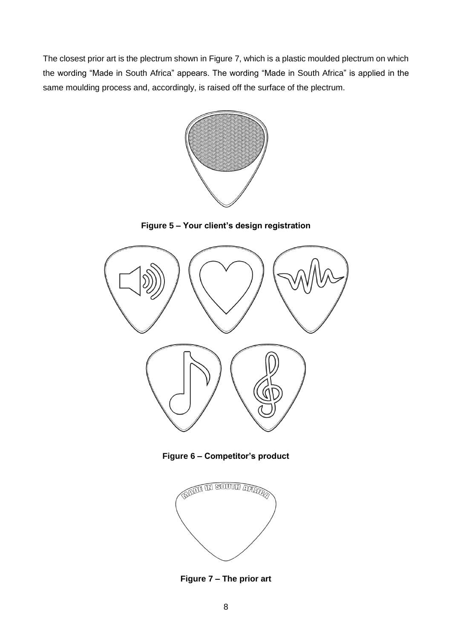The closest prior art is the plectrum shown in Figure 7, which is a plastic moulded plectrum on which the wording "Made in South Africa" appears. The wording "Made in South Africa" is applied in the same moulding process and, accordingly, is raised off the surface of the plectrum.



**Figure 5 – Your client's design registration**



**Figure 6 – Competitor's product**



**Figure 7 – The prior art**